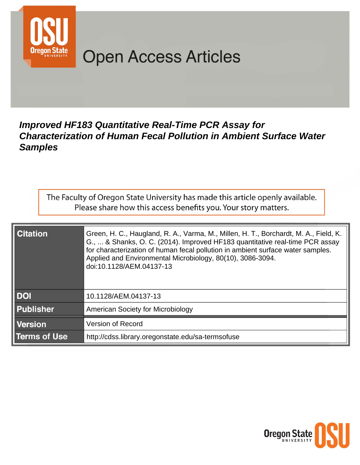

# **Open Access Articles**

# **Improved HF183 Quantitative Real-Time PCR Assay for Characterization of Human Fecal Pollution in Ambient Surface Water Samples**

The Faculty of Oregon State University has made this article openly available. Please share how this access benefits you. Your story matters.

| <b>Citation</b>     | Green, H. C., Haugland, R. A., Varma, M., Millen, H. T., Borchardt, M. A., Field, K.<br>G.,  & Shanks, O. C. (2014). Improved HF183 quantitative real-time PCR assay<br>for characterization of human fecal pollution in ambient surface water samples.<br>Applied and Environmental Microbiology, 80(10), 3086-3094.<br>doi:10.1128/AEM.04137-13 |
|---------------------|---------------------------------------------------------------------------------------------------------------------------------------------------------------------------------------------------------------------------------------------------------------------------------------------------------------------------------------------------|
| <b>DOI</b>          | 10.1128/AEM.04137-13                                                                                                                                                                                                                                                                                                                              |
| <b>Publisher</b>    | <b>American Society for Microbiology</b>                                                                                                                                                                                                                                                                                                          |
| <b>Version</b>      | <b>Version of Record</b>                                                                                                                                                                                                                                                                                                                          |
| <b>Terms of Use</b> | http://cdss.library.oregonstate.edu/sa-termsofuse                                                                                                                                                                                                                                                                                                 |

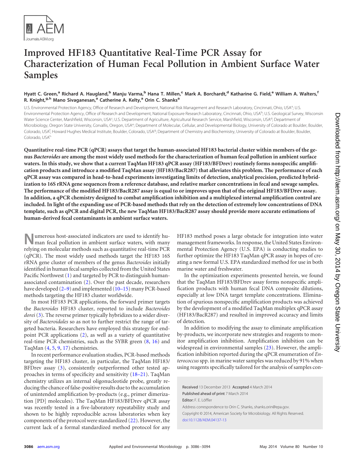

# **Improved HF183 Quantitative Real-Time PCR Assay for Characterization of Human Fecal Pollution in Ambient Surface Water Samples**

# Hyatt C. Green,<sup>a</sup> Richard A. Haugland,<sup>b</sup> Manju Varma,<sup>b</sup> Hana T. Millen,<sup>c</sup> Mark A. Borchardt,<sup>d</sup> Katharine G. Field,<sup>e</sup> William A. Walters,<sup>f</sup> **R. Knight,g,h Mano Sivaganesan,<sup>a</sup> Catherine A. Kelty,<sup>a</sup> Orin C. Shanks<sup>a</sup>**

U.S. Environmental Protection Agency, Office of Research and Development, National Risk Management and Research Laboratory, Cincinnati, Ohio, USA<sup>a</sup>; U.S. Environmental Protection Agency, Office of Research and Development, National Exposure Research Laboratory, Cincinnati, Ohio, USA<sup>b</sup>; U.S. Geological Survey, Wisconsin Water Science Center, Marshfield, Wisconsin, USA<sup>c</sup>; U.S. Department of Agriculture, Agricultural Research Service, Marshfield, Wisconsin, USA<sup>d</sup>; Department of Microbiology, Oregon State University, Corvallis, Oregon, USA<sup>e</sup>; Department of Molecular, Cellular, and Developmental Biology, University of Colorado at Boulder, Boulder, Colorado, USA<sup>f</sup>; Howard Hughes Medical Institute, Boulder, Colorado, USA<sup>9</sup>; Department of Chemistry and Biochemistry, University of Colorado at Boulder, Boulder, Boulder, Colorado, USA<sup>h</sup>

**Quantitative real-time PCR (qPCR) assays that target the human-associated HF183 bacterial cluster within members of the genus** *Bacteroides* **are among the most widely used methods for the characterization of human fecal pollution in ambient surface waters. In this study, we show that a current TaqMan HF183 qPCR assay (HF183/BFDrev) routinely forms nonspecific amplification products and introduce a modified TaqMan assay (HF183/BacR287) that alleviates this problem. The performance of each qPCR assay was compared in head-to-head experiments investigating limits of detection, analytical precision, predicted hybridization to 16S rRNA gene sequences from a reference database, and relative marker concentrations in fecal and sewage samples. The performance of the modified HF183/BacR287 assay is equal to or improves upon that of the original HF183/BFDrev assay. In addition, a qPCR chemistry designed to combat amplification inhibition and a multiplexed internal amplification control are included. In light of the expanding use of PCR-based methods that rely on the detection of extremely low concentrations of DNA template, such as qPCR and digital PCR, the new TaqMan HF183/BacR287 assay should provide more accurate estimations of human-derived fecal contaminants in ambient surface waters.**

**Numerous host-associated indicators are used to identify human fecal pollution in ambient surface waters, with many** relying on molecular methods such as quantitative real-time PCR (qPCR). The most widely used methods target the HF183 16S rRNA gene cluster of members of the genus *Bacteroides* initially identified in human fecal samples collected from the United States Pacific Northwest [\(1\)](#page-7-0) and targeted by PCR to distinguish humanassociated contamination [\(2\)](#page-7-1). Over the past decade, researchers have developed [\(2](#page-7-1)-[9\)](#page-8-1) and implemented [\(10](#page-8-2)-[15\)](#page-8-4) many PCR-based methods targeting the HF183 cluster worldwide.

In most HF183 PCR applications, the forward primer targets the *Bacteroides* HF183 cluster, reported to include *Bacteroides dorei* [\(3\)](#page-7-2). The reverse primer typically hybridizes to a wider diversity of *Bacteroidales* so as not to further restrict the range of targeted bacteria. Researchers have employed this strategy for endpoint PCR applications [\(2\)](#page-7-1), as well as a variety of quantitative real-time PCR chemistries, such as the SYBR green [\(8,](#page-8-0) [16\)](#page-8-5) and TaqMan [\(4,](#page-8-6) [5,](#page-8-7) [9,](#page-8-1) [17\)](#page-8-8) chemistries.

In recent performance evaluation studies, PCR-based methods targeting the HF183 cluster, in particular, the TaqMan HF183/ BFDrev assay [\(3\)](#page-7-2), consistently outperformed other tested approaches in terms of specificity and sensitivity [\(18](#page-8-9)[–](#page-8-10)[21\)](#page-8-11). TaqMan chemistry utilizes an internal oligonucleotide probe, greatly reducing the chance of false-positive results due to the accumulation of unintended amplification by-products (e.g., primer dimerization [PD] molecules). The TaqMan HF183/BFDrev qPCR assay was recently tested in a five-laboratory repeatability study and shown to be highly reproducible across laboratories when key components of the protocol were standardized [\(22\)](#page-8-12). However, the current lack of a formal standardized method protocol for any HF183 method poses a large obstacle for integration into water management frameworks. In response, the United States Environmental Protection Agency (U.S. EPA) is conducting studies to further optimize the HF183 TaqMan qPCR assay in hopes of creating a new formal U.S. EPA standardized method for use in both marine water and freshwater.

In the optimization experiments presented herein, we found that the TaqMan HF183/BFDrev assay forms nonspecific amplification products with human fecal DNA composite dilutions, especially at low DNA target template concentrations. Elimination of spurious nonspecific amplification products was achieved by the development of a modified TaqMan multiplex qPCR assay (HF183/BacR287) and resulted in improved accuracy and limits of detection.

In addition to modifying the assay to eliminate amplification by-products, we incorporate new strategies and reagents to monitor amplification inhibition. Amplification inhibition can be widespread in environmental samples [\(23\)](#page-8-13). However, the amplification inhibition reported during the qPCR enumeration of *Enterococcus*spp. in marine water samples was reduced by 91% when using reagents specifically tailored for the analysis of samples con-

Received 13 December 2013 Accepted 4 March 2014 Published ahead of print 7 March 2014 Editor: F. E. Löffler Address correspondence to Orin C. Shanks, shanks.orin@epa.gov. Copyright © 2014, American Society for Microbiology. All Rights Reserved. [doi:10.1128/AEM.04137-13](http://dx.doi.org/10.1128/AEM.04137-13)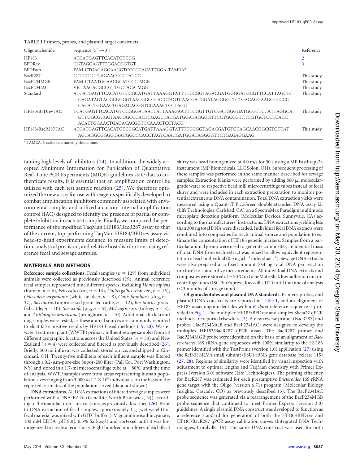<span id="page-2-0"></span>

| TABLE 1 Primers, probes, and plasmid target constructs |  |  |  |
|--------------------------------------------------------|--|--|--|
|                                                        |  |  |  |

| Oligonucleotide   | Sequence $(5' \rightarrow 3')$                                          | Reference  |
|-------------------|-------------------------------------------------------------------------|------------|
| HF183             | <b>ATCATGAGTTCACATGTCCG</b>                                             |            |
| <b>BFDRev</b>     | CGTAGGAGTTTGGACCGTGT                                                    | 3          |
| <b>BFDFam</b>     | FAM-CTGAGAGGAAGGTCCCCCACATTGGA-TAMRA <sup>a</sup>                       |            |
| BacR287           | CTTCCTCTCAGAACCCCTATCC                                                  | This study |
| BacP234MGB        | FAM-CTAATGGAACGCATCCC-MGB                                               | This study |
| BacP234IAC        | VIC-AACACGCCGTTGCTACA-MGB                                               | This study |
| Standard          | ATCATGAGTTCACATGTCCGCATGATTAAAGGTATTTTCCGGTAGACGATGGGGATGCGTTCCATTAGCTC | This study |
|                   | GAGATAGTAGGCGGGGTAACGGCCCACCTAGTCAACGATGGATAGGGGTTCTGAGAGGAAGGTCCCC     |            |
|                   | CACATTGGAACTGAGACACGGTCCAAACTCCTACG                                     |            |
| HF183/BFDrev IAC  | TCATGAGTTCACATGTCCGGGATAATTATTAAAGAATTTCGGTTGTCGATGGGGATGCGTTCCATTAGGCA | This study |
|                   | GTTGGCGGGGTAACGGCCCACTCGAGCTACGATGGATAGGGGTTCCTGCCGTCTCGTGCTCCTCACC     |            |
|                   | ACATTGGAACTGAGACACGGTCCAAACTCCTACG                                      |            |
| HF183/BacR287 IAC | ATCATGAGTTCACATGTCCGCATGATTAAAGGTATTTTCCGGTAGACGATGTGTAGCAACGGCGTGTTAT  | This study |
|                   | AGTAGGCGGGGTAACGGCCCACCTAGTCAACGATGGATAGGGGTTCTGAGAGGAAG                |            |

*<sup>a</sup>* TAMRA, 6-carboxytetramethylrhodamine.

taining high levels of inhibitors [\(24\)](#page-8-14). In addition, the widely accepted Minimum Information for Publication of Quantitative Real-Time PCR Experiments (MIQE) guidelines state that to authenticate results, it is essential that an amplification control be utilized with each test sample reaction [\(25\)](#page-8-15). We therefore optimized the new assay for use with reagents specifically developed to combat amplification inhibitors commonly associated with environmental samples and utilized a custom internal amplification control (IAC) designed to identify the presence of partial or complete inhibition in each test sample. Finally, we compared the performance of the modified TaqMan HF183/BacR287 assay to that of the current, top-performing TaqMan HF183/BFDrev assay via head-to-head experiments designed to measure limits of detection, analytical precision, and relative host distributions using reference fecal and sewage samples.

#### **MATERIALS AND METHODS**

**Reference sample collections.** Fecal samples  $(n = 129)$  from individual animals were collected as previously described [\(19\)](#page-8-16). Animal reference fecal samples represented nine different species, including *Homo sapiens*  $(\text{human}, n = 6), \text{Felis catus} (\text{cat}, n = 14), \text{Gallus gallons} (\text{chicken}, n = 15),$ *Odocoileus virginianus* (white-tail deer, *n* - 8), *Canis familiaris* (dog, *n* - 37), *Bos taurus* (unprocessed grain-fed cattle,  $n = 12$ ), *Bos taurus* (grassfed cattle,  $n = 10$ ), *Sus scrofa* (pig,  $n = 9$ ), *Meleagris* spp. (turkey,  $n = 8$ ), and *Antilocapra americana* (pronghorn,  $n = 10$ ). Additional chicken and dog samples were tested, as these animal sources are commonly reported to elicit false-positive results by HF183-based methods [\(19,](#page-8-16) [20\)](#page-8-10). Wastewater treatment plant (WWTP) primary influent sewage samples from 58 different geographic locations across the United States ( $n = 54$ ) and New Zealand  $(n = 4)$  were collected and filtered as previously described  $(26)$ . Briefly, 500 ml influent was collected, stored on ice, and shipped to Cincinnati, OH. Twenty-five milliliters of each influent sample was filtered through a 0.2-m-pore-size Supor-200 filter (Pall Co., Port Washington, NY) and stored in a 1.7-ml microcentrifuge tube at  $-80^{\circ}$ C until the time of analysis. WWTP samples were from areas representing human population sizes ranging from 3,000 to  $1.2 \times 10^6$  individuals, on the basis of the reported estimates of the population served (data not shown).

**DNA extractions.**All DNA extractions of filtered sewage samples were performed with a DNA-EZ kit (GeneRite, North Brunswick, NJ) according to the manufacturer's instructions, as previously described [\(26\)](#page-8-17). Prior to DNA extraction of fecal samples, approximately 1 g (wet weight) of fecal material was mixed with GITC buffer (5 M guanidine isothiocyanate, 100 mM EDTA [pH 8.0], 0.5% Sarkosyl) and vortexed until it was homogenized to create a fecal slurry. Eight hundred microliters of each fecal

instrument (MP Biomedicals, LLC Solon, OH). Subsequent processing of these samples was performed in the same manner described for sewage samples. Extraction blanks were performed by adding 800 µl moleculargrade water to respective bead mill microcentrifuge tubes instead of fecal slurry and were included in each extraction preparation to monitor potential extraneous DNA contamination. Total DNA extraction yields were measured using a Quant-iT PicoGreen double-stranded DNA assay kit (Life Technologies, Carlsbad, CA) on a SpectraMax Paradigm multimode microplate detection platform (Molecular Devices, Sunnyvale, CA) according to the manufacturers' instructions. DNA extractions yielding less than 300 ng total DNA were discarded. Individual fecal DNA extracts were combined into composites for each animal source and population to estimate the concentration of HF183 genetic markers. Samples from a particular animal group were used to generate composites; an identical mass of total DNA from each extract was mixed to allow equivalent representation of each individual (0.5 ng  $\mu$ l<sup>-1</sup> individual<sup>-1</sup>). Sewage DNA extracts were also prepared at a fixed amount (0.4 ng total DNA per reaction mixture) to standardize measurements. All individual DNA extracts and composites were stored at  $-20^{\circ}$ C in GeneMate Slick low-adhesion microcentrifuge tubes (ISC BioExpress, Kaysville, UT) until the time of analysis (3 months of storage time).

slurry was bead homogenized at 4.0 m/s for 30 s using a MP FastPrep-24

**Oligonucleotides and plasmid DNA standards.** Primers, probes, and plasmid DNA constructs are reported in [Table 1,](#page-2-0) and an alignment of HF183 assay oligonucleotides with a *B. dorei* reference sequence is provided in [Fig. 1.](#page-3-0) The multiplex HF183/BFDrev and simplex Sketa22 qPCR methods are reported elsewhere [\(3\)](#page-7-2). A new reverse primer (BacR287) and probes (BacP234MGB and BacP234IAC) were designed to develop the multiplex HF183/BacR287 qPCR assay. The BacR287 primer and BacP234MGB probe were identified on the basis of an alignment of *Bacteroidetes* 16S rRNA gene sequences with 100% similarity to the HF183 primer identified with the TestPrime (version 1.0) application [\(27\)](#page-8-18) using the RefNR SILVA small subunit (SSU) rRNA gene database (release 115) [\(27,](#page-8-18) [28\)](#page-8-19). Regions of similarity were identified by visual inspection with adjustment to optimal lengths and TaqMan chemistry with Primer Express (version 3.0) software (Life Technologies). The priming efficiency for BacR287 was estimated for each presumptive *Bacteroides* 16S rRNA gene target with the Oligo (version 6.71) program (Molecular Biology Insights, Cascade, CO) as previously described [\(3\)](#page-7-2). The BacP234IAC probe sequence was generated via a rearrangement of the BacP234MGB probe sequence that continued to meet Primer Express (version 3.0) guidelines. A single plasmid DNA construct was developed to function as a reference standard for generation of both the HF183/BFDrev and HF183/BacR287 qPCR assay calibration curves (Integrated DNA Technologies, Coralville, IA). The same DNA construct was used for both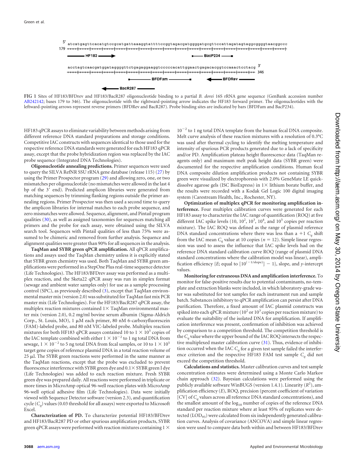

<span id="page-3-0"></span>**FIG 1** Sites of HF183/BFDrev and HF183/BacR287 oligonucleotide binding to a partial *B. dorei* 16S rRNA gene sequence (GenBank accession number [AB242142;](http://www.ncbi.nlm.nih.gov/nuccore?term=AB242142) bases 179 to 346). The oligonucleotide with the rightward-pointing arrow indicates the HF183 forward primer. The oligonucleotides with the leftward-pointing arrows represent reverse primers (BFDRev and BacR287). Probe binding sites are indicated by bars (BFDFam and BacP234).

HF183 qPCR assays to eliminate variability between methods arising from different reference DNA standard preparations and storage conditions. Competitive IAC constructs with sequences identical to those used for the respective reference DNA standards were generated for each HF183 qPCR assay, except that the probe hybridization region was replaced by the IAC probe sequence (Integrated DNA Technologies).

**Oligonucleotide annealing predictions.** Primer sequences were used to query the SILVA RefNR SSU rRNA gene database (release 115) [\(27\)](#page-8-18) by using the Primer Prospector program [\(29\)](#page-8-20) and allowing zero, one, or two mismatches per oligonucleotide (no mismatches were allowed in the last 4 bp of the 3' end). Predicted amplicon libraries were generated from matching sequences by trimming flanking regions outside the primer annealing regions. Primer Prospector was then used a second time to query the amplicon libraries for internal matches to each probe sequence, and zero mismatches were allowed. Sequence, alignment, and Pintail program qualities [\(30\)](#page-8-21), as well as assigned taxonomies for sequences matching all primers and the probe for each assay, were obtained using the SILVA search tool. Sequences with Pintail qualities of less than 75% were assumed to be chimeric and removed from further analysis. Sequence and alignment qualities were greater than 90% for all sequences in the analysis.

**TaqMan and SYBR green qPCR amplification.** All qPCR amplifications and assays used the TaqMan chemistry unless it is explicitly stated that SYBR green chemistry was used. Both TaqMan and SYBR green amplifications were performed in a StepOne Plus real-time sequence detector (Life Technologies). The HF183/BFDrev assay was performed as a multiplex reaction, and the Sketa22 qPCR assay was run in simplex format (sewage and ambient water samples only) for use as a sample processing control (SPC), as previously described [\(3\)](#page-7-2), except that TaqMan environmental master mix (version 2.0) was substituted for TaqMan fast mix PCR master mix (Life Technologies). For the HF183/BacR287 qPCR assay, the multiplex reaction mixtures contained  $1\times$  TaqMan environmental master mix (version 2.0), 0.2 mg/ml bovine serum albumin (Sigma-Aldrich Corp., St. Louis, MO), 1 µM each primer, 80 nM 6-carboxyfluorescein (FAM)-labeled probe, and 80 nM VIC-labeled probe. Multiplex reaction mixtures for both HF183 qPCR assays contained 10 to  $1 \times 10^5$  copies of the IAC template combined with either 1  $\times$  10  $^{-2}$  to 1 ng total DNA from sewage,  $1 \times 10^{-2}$  to 5 ng total DNA from fecal samples, or 10 to  $1 \times 10^{5}$ target gene copies of reference plasmid DNA in a total reaction volume of  $25$   $\mu$ l. The SYBR green reactions were performed in the same manner as the TaqMan reactions, except that the probe was excluded to prevent fluorescence interference with SYBR green dye and  $0.1 \times$  SYBR green I dye (Life Technologies) was added to each reaction mixture. Fresh SYBR green dye was prepared daily. All reactions were performed in triplicate or more times in MicroAmp optical 96-well reaction plates with MicroAmp 96-well optical adhesive film (Life Technologies). Data were initially viewed with Sequence Detector software (version 2.3), and quantification cycle  $(C_a)$  values (0.03 threshold for all assays) were exported to Microsoft Excel.

**Characterization of PD.** To characterize potential HF183/BFDrev and HF183/BacR287 PD or other spurious amplification products, SYBR green qPCR assays were performed with reaction mixtures containing  $1 \times$ 

 $10^{-2}$  to 1 ng total DNA template from the human fecal DNA composite. Melt curve analysis of these reaction mixtures with a resolution of 0.3°C was used after thermal cycling to identify the melting temperature and intensity of spurious PCR products generated due to a lack of specificity and/or PD. Amplification plateau height fluorescence data (TaqMan reagents only) and maximum melt peak height data (SYBR green) were documented for the respective amplification conditions. Human fecal DNA composite dilution amplification products not containing SYBR green were visualized by electrophoresis with 2.0% GeneMate LE quickdissolve agarose gels (ISC BioExpress) in  $1 \times$  lithium borate buffer, and the results were recorded with a Kodak Gel Logic 100 digital imaging system (Carestream Health, Inc., Rochester, NY).

**Optimization of multiplex qPCR for monitoring amplification interference.** Four multiplex calibration curves were generated for each HF183 assay to characterize the IAC range of quantification (ROQ) at five different IAC spike levels  $(10, 10^2, 10^3, 10^4,$  and  $10^5$  copies per reaction mixture). The IAC ROQ was defined as the range of plasmid reference DNA standard concentrations where there was less than a  $+1$   $C<sub>a</sub>$  shift from the IAC mean  $C_q$  value at 10 copies ( $n = 12$ ). Simple linear regression was used to assess the influence that IAC spike levels had on the reference DNA standard calibration curve ROQ (range of plasmid DNA standard concentrations where the calibration model was linear), amplification efficiency {*E*; equal to  $[10^{(-1/\text{slope}})] - 1$ }, slope, and *y*-intercept values.

**Monitoring for extraneous DNA and amplification interference.** To monitor for false-positive results due to potential contaminants, no-template and extraction blanks were included, in which laboratory-grade water was substituted for test samples for each instrument run and sample batch. Substances inhibitory to qPCR amplification can persist after DNA purification. Therefore, a fixed amount of IAC plasmid constructs was spiked into each qPCR mixture ( $10^2$  or  $10^3$  copies per reaction mixture) to evaluate the suitability of the isolated DNA for amplification. If amplification interference was present, confirmation of inhibition was achieved by comparison to a competition threshold. The competition threshold is the *Cq* value where the upper bound of the IAC ROQ intersects the respective multiplexed master calibration curve [\(31\)](#page-8-22). Thus, evidence of inhibition occurred when the IAC  $C_a$  for a given test sample failed the interference criterion and the respective HF183 FAM test sample  $C<sub>a</sub>$  did not exceed the competition threshold.

**Calculations and statistics.** Master calibration curves and test sample concentration estimates were determined using a Monte Carlo Markov chain approach [\(32\)](#page-8-23). Bayesian calculations were performed using the publicly available software WinBUGS (version 1.4.1). Linearity ( $R^2$ ), amplification efficiency (*E*), ROQ, precision (percent coefficient of variation [CV] of *Cq* values across all reference DNA standard concentrations), and the smallest amount of the  $log_{10}$  number of copies of the reference DNA standard per reaction mixture where at least 95% of replicates were detected  $(LOD_{95})$  were calculated from six independently generated calibration curves. Analysis of covariance (ANCOVA) and simple linear regression were used to compare data both within and between HF183/BFDrev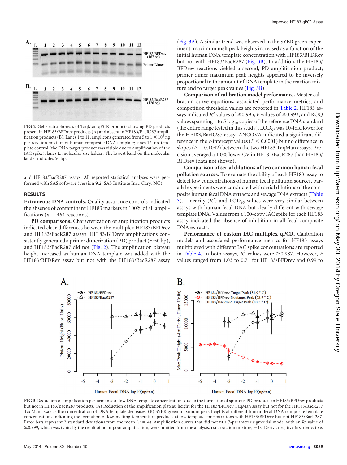

<span id="page-4-0"></span>**FIG 2** Gel electrophoresis of TaqMan qPCR products showing PD products present in HF183/BFDrev products (A) and absent in HF183/BacR287 amplification products (B). Lanes 1 to 11, amplicons generated from 5 to  $1 \times 10^5$  ng per reaction mixture of human composite DNA template; lanes 12, no-template control (the DNA target product was visible due to amplification of the IAC spike); lanes L, molecular size ladder. The lowest band on the molecular ladder indicates 50 bp.

and HF183/BacR287 assays. All reported statistical analyses were performed with SAS software (version 9.2; SAS Institute Inc., Cary, NC).

### **RESULTS**

**Extraneous DNA controls.** Quality assurance controls indicated the absence of contaminant HF183 markers in 100% of all amplifications ( $n = 464$  reactions).

**PD comparisons.** Characterization of amplification products indicated clear differences between the multiplex HF183/BFDrev and HF183/BacR287 assays: HF183/BFDrev amplifications consistently generated a primer dimerization (PD) product ( $\sim$  50 bp), and HF183/BacR287 did not [\(Fig. 2\)](#page-4-0). The amplification plateau height increased as human DNA template was added with the HF183/BFDRev assay but not with the HF183/BacR287 assay

[\(Fig. 3A\)](#page-4-1). A similar trend was observed in the SYBR green experiment: maximum melt peak heights increased as a function of the initial human DNA template concentration with HF183/BFDRev but not with HF183/BacR287 [\(Fig. 3B\)](#page-4-1). In addition, the HF183/ BFDrev reactions yielded a second, PD amplification product; primer dimer maximum peak heights appeared to be inversely proportional to the amount of DNA template in the reaction mixture and to target peak values [\(Fig. 3B\)](#page-4-1).

**Comparison of calibration model performance.** Master calibration curve equations, associated performance metrics, and competition threshold values are reported in [Table 2.](#page-5-0) HF183 assays indicated  $R^2$  values of  $\geq$  0.995,  $\overline{E}$  values of  $\geq$  0.993, and ROQ values spanning 1 to 5  $log_{10}$  copies of the reference DNA standard (the entire range tested in this study).  $\text{LOD}_{95}$  was 10-fold lower for the HF183/BacR287 assay. ANCOVA indicated a significant difference in the *y*-intercept values ( $P < 0.0001$ ) but no difference in slopes  $(P = 0.1042)$  between the two HF183 TaqMan assays. Precision averaged a 1.0% lower CV in HF183/BacR287 than HF183/ BFDrev (data not shown).

**Comparison of serial dilutions of two common human fecal pollution sources.** To evaluate the ability of each HF183 assay to detect low concentrations of human fecal pollution sources, parallel experiments were conducted with serial dilutions of the composite human fecal DNA extracts and sewage DNA extracts [\(Table](#page-5-1) [3\)](#page-5-1). Linearity  $(R^2)$  and  $\text{LOD}_{95}$  values were very similar between assays with human fecal DNA but clearly different with sewage template DNA. Values from a 100-copy IAC spike for each HF183 assay indicated the absence of inhibition in all fecal composite DNA extracts.

**Performance of custom IAC multiplex qPCR.** Calibration models and associated performance metrics for HF183 assays multiplexed with different IAC spike concentrations are reported in [Table 4.](#page-6-0) In both assays,  $R^2$  values were  $\geq$ 0.987. However, *E* values ranged from 1.03 to 0.71 for HF183/BFDrev and 0.99 to



<span id="page-4-1"></span>**FIG 3** Reduction of amplification performance at low DNA template concentrations due to the formation of spurious PD products in HF183/BFDrev products but not in HF183/BacR287 products. (A) Reduction of the amplification plateau height for the HF183/BFDrev TaqMan assay but not for the HF183/BacR287 TaqMan assay as the concentration of DNA template decreases. (B) SYBR green maximum peak heights at different human fecal DNA composite template concentrations indicating the formation of low-melting-temperature products at low template concentrations with HF183/BFDrev but not HF183/BacR287. Error bars represent 2 standard deviations from the mean  $(n = 4)$ . Amplification curves that did not fit a 7-parameter sigmoidal model with an  $R^2$  value of ≥0.999, which was typically the result of no or poor amplification, were omitted from the analysis. rxn, reaction mixture; -1st Deriv., negative first derivative.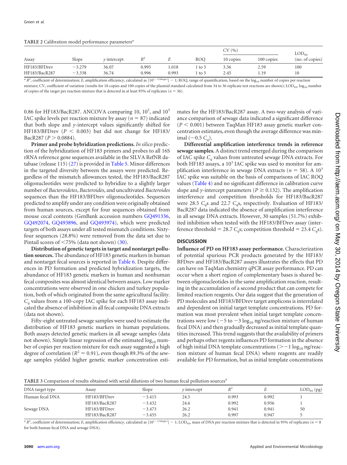<span id="page-5-0"></span>**TABLE 2** Calibration model performance parameters*<sup>a</sup>*

|               |          |                 |       |       |            | CV(%)     |            | $\text{LOD}_{95}$ |  |
|---------------|----------|-----------------|-------|-------|------------|-----------|------------|-------------------|--|
| Assay         | Slope    | $\nu$ intercept | $R^2$ |       | <b>ROO</b> | 10 copies | 100 copies | (no. of copies)   |  |
| HF183/BFDrev  | $-3.279$ | 36.07           | 0.995 | 1.018 | to 5       | 3.56      | 2.59       | 100               |  |
| HF183/BacR287 | $-3.338$ | 36.74           | 0.996 | 0.993 | to 5       | 2.45      | 1.19       | 10                |  |
|               |          |                 |       |       |            |           |            |                   |  |

 ${}^a$  *R*<sup>2</sup>, coefficient of determination; *E*, amplification efficiency, calculated as  $[10^{(-1/\text{slope})}]$  – 1; ROQ, range of quantification, based on the  $\log_{10}$  number of copies per reaction mixture; CV, coefficient of variation (results for 10 copies and 100 copies of the plasmid standard calculated from 34 to 36 replicate test reactions are shown); LOD<sub>95</sub>, log<sub>10</sub> number of copies of the target per reaction mixture that is detected in at least 95% of replicates ( $n = 36$ ).

0.86 for HF183/BacR287. ANCOVA comparing 10,  $10^2$ , and  $10^3$ IAC spike levels per reaction mixture by assay ( $n = 87$ ) indicated that both slope and *y*-intercept values significantly shifted for HF183/BFDrev  $(P < 0.003)$  but did not change for HF183/  $Back287 (P > 0.0884).$ 

**Primer and probe hybridization predictions.** *In silico* prediction of the hybridization of HF183 primers and probes to all 16S rRNA reference gene sequences available in the SILVA RefNR database (release 115) [\(27\)](#page-8-18) is provided in [Table 5.](#page-6-1) Minor differences in the targeted diversity between the assays were predicted. Regardless of the mismatch allowances tested, the HF183/BacR287 oligonucleotides were predicted to hybridize to a slightly larger number of *Bacteroidetes*, *Bacteroides*, and uncultivated *Bacteroides* sequences than the HF183/BFDrev oligonucleotides. Sequences predicted to amplify under any condition were originally obtained from human sources, except for four sequences obtained from mouse cecal contents (GenBank accession numbers [GQ491336,](http://www.ncbi.nlm.nih.gov/nuccore?term=GQ491336) [GQ492074,](http://www.ncbi.nlm.nih.gov/nuccore?term=GQ492074) [GQ493896,](http://www.ncbi.nlm.nih.gov/nuccore?term=GQ493896) and [GQ493974\)](http://www.ncbi.nlm.nih.gov/nuccore?term=GQ493974), which were predicted targets of both assays under all tested mismatch conditions. Sixtyfour sequences (28.8%) were removed from the data set due to Pintail scores of  $\leq$ 75% (data not shown) [\(30\)](#page-8-21).

**Distribution of genetic targets in target and nontarget pollution sources.** The abundance of HF183 genetic markers in human and nontarget fecal sources is reported in [Table 6.](#page-6-2) Despite differences in PD formation and predicted hybridization targets, the abundance of HF183 genetic markers in human and nonhuman fecal composites was almost identical between assays. Low marker concentrations were observed in one chicken and turkey population, both of which originated from the same agricultural facility. *Cq* values from a 100-copy IAC spike for each HF183 assay indicated the absence of inhibition in all fecal composite DNA extracts (data not shown).

Fifty-eight untreated sewage samples were used to estimate the distribution of HF183 genetic markers in human populations. Both assays detected genetic markers in all sewage samples (data not shown). Simple linear regression of the estimated  $log_{10}$  number of copies per reaction mixture for each assay suggested a high degree of correlation ( $R^2 = 0.91$ ), even though 89.3% of the sewage samples yielded higher genetic marker concentration estimates for the HF183/BacR287 assay. A two-way analysis of variance comparison of sewage data indicated a significant difference  $(P < 0.001)$  between TaqMan HF183 assay genetic marker concentration estimates, even though the average difference was minimal  $(\sim 0.5 \text{ } C_a)$ .

**Differential amplification interference trends in reference sewage samples.** A distinct trend emerged during the comparison of IAC spike *Cq* values from untreated sewage DNA extracts. For both HF183 assays, a  $10^3$  IAC spike was used to monitor for amplification interference in sewage DNA extracts ( $n = 58$ ). A 10<sup>3</sup> IAC spike was suitable on the basis of comparisons of IAC ROQ values [\(Table 4\)](#page-6-0) and no significant difference in calibration curve slope and *y*-intercept parameters ( $P \ge 0.132$ ). The amplification interference and competition thresholds for HF183/BacR287 were 28.5 *C<sub>a</sub>s* and 22.7 *C<sub>a</sub>s*, respectively. Evaluation of HF183/ BacR287 data indicated the absence of amplification interference in all sewage DNA extracts. However, 30 samples (51.7%) exhibited inhibition when tested with the HF183/BFDrev assay (interference threshold = 28.7  $C_q$ s; competition threshold = 23.4  $C_q$ s).

# **DISCUSSION**

**Influence of PD on HF183 assay performance.** Characterization of potential spurious PCR products generated by the HF183/ BFDrev and HF183/BacR287 assays illustrates the effects that PD can have on TaqMan chemistry qPCR assay performance. PD can occur when a short region of complementary bases is shared between oligonucleotides in the same amplification reaction, resulting in the accumulation of a second product that can compete for limited reaction reagents. Our data suggest that the generation of PD molecules and HF183/BFDrev target amplicons is interrelated and dependent on initial target template concentrations. PD formation was most prevalent when initial target template concentrations were low ( $-5$  to  $-3$  log<sub>10</sub> ng/reaction mixture of human fecal DNA) and then gradually decreased as initial template quantities increased. This trend suggests that the availability of primers and perhaps other regents influences PD formation in the absence of high initial DNA template concentrations ( $>$  - 1 log<sub>10</sub> ng/reaction mixture of human fecal DNA) where reagents are readily available for PD formation, but as initial template concentrations

<span id="page-5-1"></span>**TABLE 3** Comparison of results obtained with serial dilutions of two human fecal pollution sources*<sup>a</sup>*

| DNA target type | Assay         | Slope    | $\nu$ intercept | $R^2$ |       | $\text{LOD}_{95}$ (pg) |
|-----------------|---------------|----------|-----------------|-------|-------|------------------------|
| Human fecal DNA | HF183/BFDrey  | $-3.415$ | 24.5            | 0.993 | 0.992 |                        |
|                 | HF183/BacR287 | $-3.432$ | 24.6            | 0.992 | 0.956 |                        |
| Sewage DNA      | HF183/BFDrev  | $-3.473$ | 26.2            | 0.941 | 0.941 | 50                     |
|                 | HF183/BacR287 | $-3.455$ | 26.2            | 0.997 | 0.947 |                        |

 ${}^{a}R^{2}$ , coefficient of determination; *E*, amplification efficiency, calculated as  $[10^{(-1/\text{slope}})] - 1$ ; LOD<sub>95</sub>, mass of DNA per reaction mixture that is detected in 95% of replicates (*n* = 8 for both human fecal DNA and sewage DNA).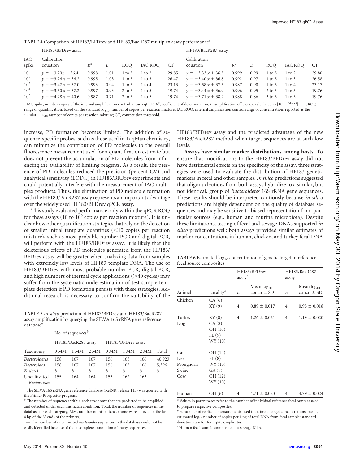|                 | TADLE T COMparison of TH TOTIDI DICY and TH TOTIDACK207 mumples assay performance |       |      |               |         |                     |                                  |       |      |                    |         |       |
|-----------------|-----------------------------------------------------------------------------------|-------|------|---------------|---------|---------------------|----------------------------------|-------|------|--------------------|---------|-------|
|                 | HF183/BFDrev assay                                                                |       |      |               |         | HF183/BacR287 assay |                                  |       |      |                    |         |       |
| IAC<br>spike    | Calibration<br>equation                                                           | $R^2$ | E    | ROO           | IAC ROO | CT                  | Calibration<br>equation          | $R^2$ | E    | ROO                | IAC ROO | CT    |
| 10              | $y = -3.29x + 36.4$ 0.998                                                         |       | 1.01 | 1 to 5 1 to 2 |         |                     | 29.85 $y = -3.33x + 36.5$ 0.999  |       | 0.99 | 1 to 5 1 to 2      |         | 29.80 |
| 10 <sup>2</sup> | $y = -3.26 x + 36.2$ 0.995                                                        |       | 1.03 | 1 to 5 1 to 3 |         |                     | 26.47 $y = -3.40 x + 36.8$ 0.992 |       | 0.97 | 1 to 5 1 to 3      |         | 26.58 |
| $10^3$          | $y = -3.47 x + 37.0$ 0.993                                                        |       | 0.94 | 1 to 5 1 to 4 |         |                     | 23.13 $y = -3.58x + 37.5$ 0.987  |       | 0.90 | 1 to 5 1 to 4      |         | 23.17 |
| $10^4$          | $y = -3.50 x + 37.2$ 0.997                                                        |       | 0.93 | 2 to 5 1 to 5 |         |                     | 19.74 $y = -3.44x + 36.9$ 0.996  |       | 0.95 | 2 to 5 1 to 5      |         | 19.76 |
| $10^5$          | $y = -4.28 x + 40.6$ 0.987 0.71 2 to 5 1 to 5                                     |       |      |               |         |                     | 19.74 $y = -3.71x + 38.2$ 0.988  |       |      | 0.86 3 to 5 1 to 5 |         | 19.76 |

<span id="page-6-0"></span>**TABLE 4** Comparison of HF183/BFDrev and HF183/BacR287 multiplex assay performance*<sup>a</sup>*

*a* IAC spike, number copies of the internal amplification control in each qPCR; *R*<sup>2</sup>, coefficient of determination; *E*, amplification efficiency, calculated as  $[10^{(-1/slope)}] - 1$ ; ROQ, range of quantification, based on the standard log<sub>10</sub> number of copies per reaction mixture; IAC ROQ, internal amplification control range of concentration, reported as the standard  $log_{10}$  number of copies per reaction mixture; CT, competition threshold.

increase, PD formation becomes limited. The addition of sequence-specific probes, such as those used in TaqMan chemistry, can minimize the contribution of PD molecules to the overall fluorescence measurement used for a quantification estimate but does not prevent the accumulation of PD molecules from influencing the availability of limiting reagents. As a result, the presence of PD molecules reduced the precision (percent CV) and analytical sensitivity  $(LOD_{95})$  in HF183/BFDrev experiments and could potentially interfere with the measurement of IAC multiplex products. Thus, the elimination of PD molecule formation with the HF183/BacR287 assay represents an important advantage over the widely used HF183/BFDrev qPCR assay.

This study evaluated performance only within the qPCR ROQ for these assays (10 to  $10^6$  copies per reaction mixture). It is unclear how other quantification strategies that rely on the detection of smaller initial template quantities  $\leq 10$  copies per reaction mixture), such as most probable number PCR and digital PCR, will perform with the HF183/BFDrev assay. It is likely that the deleterious effects of PD molecules generated from the HF183/ BFDrev assay will be greater when analyzing data from samples with extremely low levels of HF183 template DNA. The use of HF183/BFDrev with most probable number PCR, digital PCR, and high numbers of thermal cycle applications  $($ >40 cycles) may suffer from the systematic underestimation of test sample template detection if PD formation persists with these strategies. Additional research is necessary to confirm the suitability of the

<span id="page-6-1"></span>**TABLE 5** *In silico* prediction of HF183/BFDrev and HF183/BacR287 assay amplification by querying the SILVA 16S rRNA gene reference database*<sup>a</sup>*

|                                    | No. of sequences $\mathbf{b}$             |      |      |      |      |      |            |  |  |  |  |
|------------------------------------|-------------------------------------------|------|------|------|------|------|------------|--|--|--|--|
|                                    | HF183/BacR287 assay<br>HF183/BFDrev assay |      |      |      |      |      |            |  |  |  |  |
| Taxonomy                           | 0 MM                                      | 1 MM | 2 MM | 0 MM | 1 MM | 2 MM | Total      |  |  |  |  |
| <b>Bacteroidetes</b>               | 158                                       | 167  | 167  | 156  | 165  | 166  | 40,923     |  |  |  |  |
| <i><u>Bacteroides</u></i>          | 158                                       | 167  | 167  | 156  | 165  | 166  | 5,396      |  |  |  |  |
| B. dorei                           | 3                                         | 3    | 3    | 3    | 3    | 3    | 3          |  |  |  |  |
| Uncultivated<br><i>Bacteroides</i> | 155                                       | 164  | 164  | 153  | 162  | 163  | $\epsilon$ |  |  |  |  |

*<sup>a</sup>* The SILVA 16S rRNA gene reference database (RefNR, release 115) was queried with the Primer Prospector program.

*<sup>b</sup>* The number of sequences within each taxonomy that are predicted to be amplified and detected under each mismatch condition. Total, the number of sequences in the database for each category; MM, number of mismatches (none were allowed in the last 4 bp of the 3' ends of the primers).

*<sup>c</sup>* —, the number of uncultivated *Bacteroides* sequences in the database could not be easily identified because of the incomplete annotation of many sequences.

HF183/BFDrev assay and the predicted advantage of the new HF183/BacR287 method when target sequences are at such low levels.

**Assays have similar marker distributions among hosts.** To ensure that modifications to the HF183/BFDrev assay did not have detrimental effects on the specificity of the assay, three strategies were used to evaluate the distribution of HF183 genetic markers in fecal and other samples. *In silico* predictions suggested that oligonucleotides from both assays hybridize to a similar, but not identical, group of *Bacteroidetes* 16S rRNA gene sequences. These results should be interpreted cautiously because *in silico* predictions are highly dependent on the quality of database sequences and may be sensitive to biased representation from particular sources (e.g., human and murine microbiota). Despite these limitations, testing of fecal and sewage DNAs supported *in silico* predictions well: both assays provided similar estimates of marker concentrations in human, chicken, and turkey fecal DNA

<span id="page-6-2"></span>TABLE 6 Estimated  $log_{10}$  concentration of genetic target in reference fecal source composites

|                    |                              | assay <sup>b</sup> | HF183/BFDrev                      | HF183/BacR287<br>assay |                                   |  |
|--------------------|------------------------------|--------------------|-----------------------------------|------------------------|-----------------------------------|--|
| Animal             | Locality <sup><i>a</i></sup> | $\it n$            | Mean $log_{10}$<br>concn $\pm$ SD | $\boldsymbol{n}$       | Mean $log_{10}$<br>concn $\pm$ SD |  |
| Chicken            | CA(6)                        |                    |                                   |                        |                                   |  |
|                    | KY(9)                        | $\overline{4}$     | $0.89 \pm 0.017$                  | $\overline{4}$         | $0.95 \pm 0.018$                  |  |
| Turkey             | KY(8)                        | $\overline{4}$     | $1.26 \pm 0.021$                  | $\overline{4}$         | $1.19 \pm 0.020$                  |  |
| Dog                | CA(8)                        |                    |                                   |                        |                                   |  |
|                    | OH (10)                      |                    |                                   |                        |                                   |  |
|                    | FL(9)                        |                    |                                   |                        |                                   |  |
|                    | WY (10)                      |                    |                                   |                        |                                   |  |
| Cat                | OH (14)                      |                    |                                   |                        |                                   |  |
| Deer               | FL(8)                        |                    |                                   |                        |                                   |  |
| Pronghorn          | WY (10)                      |                    |                                   |                        |                                   |  |
| Swine              | GA(9)                        |                    |                                   |                        |                                   |  |
| Cow                | OH (12)                      |                    |                                   |                        |                                   |  |
|                    | WY (10)                      |                    |                                   |                        |                                   |  |
| Human <sup>c</sup> | OH (6)                       | $\overline{4}$     | $4.71 \pm 0.023$                  | $\overline{4}$         | $4.79 \pm 0.024$                  |  |

*<sup>a</sup>* Values in parentheses refer to the number of individual reference fecal samples used to prepare respective composites.

 $*n*$ *, number of replicate measurements used to estimate target concentrations; mean,* estimated log<sub>10</sub> number of copies per 1 ng of total DNA from fecal sample; standard deviations are for four qPCR replicates.

*<sup>c</sup>* Human fecal sample composite, not sewage DNA.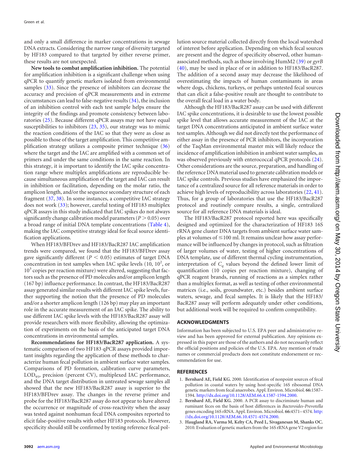and only a small difference in marker concentrations in sewage DNA extracts. Considering the narrow range of diversity targeted by HF183 compared to that targeted by either reverse primer, these results are not unexpected.

**New tools to combat amplification inhibition.** The potential for amplification inhibition is a significant challenge when using qPCR to quantify genetic markers isolated from environmental samples [\(33\)](#page-8-24). Since the presence of inhibitors can decrease the accuracy and precision of qPCR measurements and in extreme circumstances can lead to false-negative results [\(34\)](#page-8-25), the inclusion of an inhibition control with each test sample helps ensure the integrity of the findings and promote consistency between laboratories [\(25\)](#page-8-15). Because different qPCR assays may not have equal susceptibilities to inhibitors [\(23,](#page-8-13) [35\)](#page-9-0), our strategy was to mimic the reaction conditions of the IAC so that they were as close as possible to those of the target amplification. This competitive amplification strategy utilizes a composite primer technique [\(36\)](#page-9-1) where the target and the IAC are amplified with a common set of primers and under the same conditions in the same reaction. In this strategy, it is important to identify the IAC spike concentration range where multiplex amplifications are reproducible because simultaneous amplification of the target and IAC can result in inhibition or facilitation, depending on the molar ratio, the amplicon length, and/or the sequence secondary structure of each fragment [\(37,](#page-9-2) [38\)](#page-9-3). In some instances, a competitive IAC strategy does not work [\(33\)](#page-8-24); however, careful testing of HF183 multiplex qPCR assays in this study indicated that IAC spikes do not always significantly change calibration model parameters ( $P > 0.05$ ) over a broad range of initial DNA template concentrations [\(Table 4\)](#page-6-0), making the IAC competitive strategy ideal for fecal source identification applications.

When HF183/BFDrev and HF183/BacR287 IAC amplification trends were compared, we found that the HF183/BFDrev assay gave significantly different ( $P < 0.05$ ) estimates of target DNA concentration in test samples when IAC spike levels  $(10, 10^2, or)$  $10<sup>3</sup>$  copies per reaction mixture) were altered, suggesting that factors such as the presence of PD molecules and/or amplicon length (167 bp) influence performance. In contrast, the HF183/BacR287 assay generated similar results with different IAC spike levels, further supporting the notion that the presence of PD molecules and/or a shorter amplicon length (126 bp) may play an important role in the accurate measurement of an IAC spike. The ability to use different IAC spike levels with the HF183/BacR287 assay will provide researchers with more flexibility, allowing the optimization of experiments on the basis of the anticipated target DNA concentrations in environmental samples.

**Recommendations for HF183/BacR287 application.** A systematic comparison of two HF183 qPCR assays provided important insights regarding the application of these methods to characterize human fecal pollution in ambient surface water samples. Comparisons of PD formation, calibration curve parameters, LOD<sub>95</sub>, precision (percent CV), multiplexed IAC performance, and the DNA target distribution in untreated sewage samples all showed that the new HF183/BacR287 assay is superior to the HF183/BFDrev assay. The changes in the reverse primer and probe for the HF183/BacR287 assay do not appear to have altered the occurrence or magnitude of cross-reactivity when the assay was tested against nonhuman fecal DNA composites reported to elicit false-positive results with other HF183 protocols. However, specificity should still be confirmed by testing reference fecal pollution source material collected directly from the local watershed of interest before application. Depending on which fecal sources are present and the degree of specificity observed, other humanassociated methods, such as those involving HumM2 [\(39\)](#page-9-4) or *gyrB* [\(40\)](#page-9-5), may be used in place of or in addition to HF183/BacR287. The addition of a second assay may decrease the likelihood of overestimating the impacts of human contaminants in areas where dogs, chickens, turkeys, or perhaps untested fecal sources that can elicit a false-positive result are thought to contribute to the overall fecal load in a water body.

Although the HF183/BacR287 assay can be used with different IAC spike concentrations, it is desirable to use the lowest possible spike level that allows accurate measurement of the IAC at the target DNA concentrations anticipated in ambient surface water test samples. Although we did not directly test the performance of either assay in the presence of PCR inhibitors, the incorporation of the TaqMan environmental master mix will likely reduce the incidence of amplification inhibition in ambient water samples, as was observed previously with enterococcal qPCR protocols  $(24)$ . Other considerations are the source, preparation, and handling of the reference DNA material used to generate calibration models or IAC spike controls. Previous studies have emphasized the importance of a centralized source for all reference materials in order to achieve high levels of reproducibility across laboratories [\(22,](#page-8-12) [41\)](#page-9-6). Thus, for a group of laboratories that use the HF183/BacR287 protocol and routinely compare results, a single, centralized source for all reference DNA materials is ideal.

The HF183/BacR287 protocol reported here was specifically designed and optimized for the characterization of HF183 16S rRNA gene cluster DNA targets from ambient surface water samples at volumes of  $\leq$ 100 ml. It remains unclear how assay performance will be influenced by changes in protocol, such as filtration of larger volumes of water, testing of higher concentrations of DNA template, use of different thermal cycling instrumentation, interpretation of  $C_q$  values beyond the defined lower limit of quantification (10 copies per reaction mixture), changing of qPCR reagent brands, running of reactions as a simplex rather than a multiplex format, as well as testing of other environmental matrices (i.e., soils, groundwater, etc.) besides ambient surface waters, sewage, and fecal samples. It is likely that the HF183/ BacR287 assay will perform adequately under other conditions, but additional work will be required to confirm compatibility.

## **ACKNOWLEDGMENTS**

Information has been subjected to U.S. EPA peer and administrative review and has been approved for external publication. Any opinions expressed in this paper are those of the authors and do not necessarily reflect the official positions and policies of the U.S. EPA. Any mention of trade names or commercial products does not constitute endorsement or recommendation for use.

## <span id="page-7-0"></span>**REFERENCES**

- 1. **Bernhard AE, Field KG.** 2000. Identification of nonpoint sources of fecal pollution in coastal waters by using host-specific 16S ribosomal DNA genetic markers from fecal anaerobes. Appl. Environ. Microbiol. **66:**1587– 1594. [http://dx.doi.org/10.1128/AEM.66.4.1587-1594.2000.](http://dx.doi.org/10.1128/AEM.66.4.1587-1594.2000)
- <span id="page-7-1"></span>2. **Bernhard AE, Field KG.** 2000. A PCR assay to discriminate human and ruminant feces on the basis of host differences in *Bacteroides-Prevotella* genes encoding 16S rRNA. Appl. Environ. Microbiol. **66:**4571–4574. [http:](http://dx.doi.org/10.1128/AEM.66.10.4571-4574.2000) [//dx.doi.org/10.1128/AEM.66.10.4571-4574.2000.](http://dx.doi.org/10.1128/AEM.66.10.4571-4574.2000)
- <span id="page-7-2"></span>3. **Haugland RA, Varma M, Kelty CA, Peed L, Sivaganesan M, Shanks OC.** 2010. Evaluation of genetic markers from the 16S rRNA gene V2 region for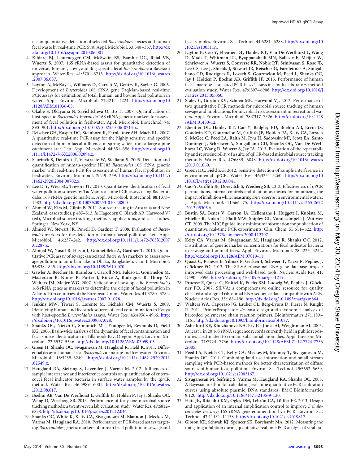use in quantitative detection of selected *Bacteroidales* species and human fecal waste by real-time PCR. Syst. Appl. Microbiol. **33:**348 –357. [http://dx](http://dx.doi.org/10.1016/j.syapm.2010.06.001) [.doi.org/10.1016/j.syapm.2010.06.001.](http://dx.doi.org/10.1016/j.syapm.2010.06.001)

- <span id="page-8-6"></span>4. **Kildare BJ, Leutenegger CM, McSwain BS, Bambic DG, Rajal VB, Wuertz S.** 2007. 16S rRNA-based assays for quantitative detection of universal, human-, cow-, and dog-specific fecal *Bacteroidales*: a Bayesian approach. Water Res. **41:**3701–3715. [http://dx.doi.org/10.1016/j.watres](http://dx.doi.org/10.1016/j.watres.2007.06.037) [.2007.06.037.](http://dx.doi.org/10.1016/j.watres.2007.06.037)
- <span id="page-8-7"></span>5. **Layton A, McKay L, Williams D, Garrett V, Gentry R, Sayler G.** 2006. Development of *Bacteroides* 16S rRNA gene TaqMan-based real-time PCR assays for estimation of total, human, and bovine fecal pollution in water. Appl. Environ. Microbiol. **72:**4214 –4224. [http://dx.doi.org/10](http://dx.doi.org/10.1128/AEM.01036-05) [.1128/AEM.01036-05.](http://dx.doi.org/10.1128/AEM.01036-05)
- 6. **Okabe S, Okayama N, Savichtcheva O, Ito T.** 2007. Quantification of host-specific *Bacteroides-Prevotella* 16S rRNA genetic markers for assessment of fecal pollution in freshwater. Appl. Microbiol. Biotechnol. **74:** 890 –901. [http://dx.doi.org/10.1007/s00253-006-0714-x.](http://dx.doi.org/10.1007/s00253-006-0714-x)
- 7. **Reischer GH, Kasper DC, Steinborn R, Farnleitner AH, Mach RL.** 2007. A quantitative real-time PCR assay for the highly sensitive and specific detection of human faecal influence in spring water from a large alpine catchment area. Lett. Appl. Microbiol. **44:**351–356. [http://dx.doi.org/10](http://dx.doi.org/10.1111/j.1472-765X.2006.02094.x) [.1111/j.1472-765X.2006.02094.x.](http://dx.doi.org/10.1111/j.1472-765X.2006.02094.x)
- <span id="page-8-0"></span>8. **Seurinck S, Defoirdt T, Verstraete W, Siciliano S.** 2005. Detection and quantification of human-specific HF183 *Bacteroides* 16S rRNA genetic marker with real-time PCR for assessment of human faecal pollution in freshwater. Environ. Microbiol. **7:**249 –259. [http://dx.doi.org/10.1111/j](http://dx.doi.org/10.1111/j.1462-2920.2004.00702.x) [.1462-2920.2004.00702.x.](http://dx.doi.org/10.1111/j.1462-2920.2004.00702.x)
- <span id="page-8-1"></span>9. **Lee D-Y, Wier SC, Trevors JT.** 2010. Quantitative identification of fecal water pollution sources by TaqMan real-time PCR assays using Bacteroidales 16S rRNA genetic markers. Appl. Microbiol. Biotechnol. **88:**1373– 1383. [http://dx.doi.org/10.1007/s00253-010-2880-0.](http://dx.doi.org/10.1007/s00253-010-2880-0)
- <span id="page-8-2"></span>10. **Ahmed W, Kirs M, Gilpin B.** 2011. Source tracking in Australia and New Zealand: case studies, p 485–513. *In* Hagedorn C, Blanch AR, Harwood VJ (ed), Microbial source tracking: methods, applications, and case studies. Springer, New York, NY.
- 11. **Ahmed W, Stewart JR, Powell D, Gardner T.** 2008. Evaluation of *Bacteroides* markers for the detection of human faecal pollution. Lett. Appl. Microbiol. **46:**237–242. [http://dx.doi.org/10.1111/j.1472-765X.2007](http://dx.doi.org/10.1111/j.1472-765X.2007.02287.x) [.02287.x.](http://dx.doi.org/10.1111/j.1472-765X.2007.02287.x)
- 12. **Ahmed W, Yusuf R, Hasan I, Goonetilleke A, Gardner T.** 2010. Quantitative PCR assay of sewage-associated *Bacteroides* markers to assess sewage pollution in an urban lake in Dhaka, Bangladesh. Can. J. Microbiol. **56:**838 –845. [http://dx.doi.org/10.1139/W10-070.](http://dx.doi.org/10.1139/W10-070)
- 13. **Gawler A, Beecher JE, Brandoa J, Carroll NM, Falcao L, Gourmelon M, Masterson B, Nunes B, Porter J, Rince A, Rodrigues R, Thorp M, Walters JM, Meijer WG.** 2007. Validation of host-specific *Bacteroidales* 16S rRNA genes as markers to determine the origin of faecal pollution in Atlantic Rim countries of the European Union. Water Res. **41:**3780 –3784. [http://dx.doi.org/10.1016/j.watres.2007.01.028.](http://dx.doi.org/10.1016/j.watres.2007.01.028)
- <span id="page-8-3"></span>14. **Jenkins MW, Tiwari S, Lorente M, Gichaba CM, Wuertz S.** 2009. Identifying human and livestock sources of fecal contamination in Kenya with host-specific *Bacteroidales* assays. Water Res. **43:**4956 –4966. [http:](http://dx.doi.org/10.1016/j.watres.2009.07.028) [//dx.doi.org/10.1016/j.watres.2009.07.028.](http://dx.doi.org/10.1016/j.watres.2009.07.028)
- <span id="page-8-4"></span>15. **Shanks OC, Nietch C, Simonich MT, Younger M, Reynolds D, Field KG.** 2006. Basin-wide analysis of the dynamics of fecal contamination and fecal source identification in Tillamook Bay, Oregon. Appl. Environ. Microbiol. **72:**5537–5546. [http://dx.doi.org/10.1128/AEM.03059-05.](http://dx.doi.org/10.1128/AEM.03059-05)
- <span id="page-8-5"></span>16. **Green H, Shanks OC, Sivaganesan M, Haugland R, Field K.** 2011. Differential decay of human faecal *Bacteroides* in marine and freshwater. Environ. Microbiol. **13:**3235–3249. [http://dx.doi.org/10.1111/j.1462-2920.2011](http://dx.doi.org/10.1111/j.1462-2920.2011.02549.x) [.02549.x.](http://dx.doi.org/10.1111/j.1462-2920.2011.02549.x)
- <span id="page-8-8"></span>17. **Haugland RA, Siefring S, Lavender J, Varma M.** 2012. Influences of sample interference and interference controls on quantification of enterococci fecal indicator bacteria in surface water samples by the qPCR method. Water Res. **46:**5989 –6001. [http://dx.doi.org/10.1016/j.watres](http://dx.doi.org/10.1016/j.watres.2012.08.017) [.2012.08.017.](http://dx.doi.org/10.1016/j.watres.2012.08.017)
- <span id="page-8-9"></span>18. **Boehm AB, Van De Werfhorst L, Griffith JF, Holden P, Jay J, Shanks OC, Wang D, Weisberg SB.** 2013. Performance of forty-one microbial source tracking methods: a twenty-seven lab evaluation study. Water Res. **47:**6812– 6828. [http://dx.doi.org/10.1016/j.watres.2012.12.046.](http://dx.doi.org/10.1016/j.watres.2012.12.046)
- <span id="page-8-16"></span>19. **Shanks OC, White K, Kelty CA, Sivaganesan M, Blannon J, Meckes M, Varma M, Haugland RA.** 2010. Performance of PCR-based assays targeting *Bacteroidales* genetic markers of human fecal pollution in sewage and

fecal samples. Environ. Sci. Technol. **44:**6281–6288. [http://dx.doi.org/10](http://dx.doi.org/10.1021/es100311n) [.1021/es100311n.](http://dx.doi.org/10.1021/es100311n)

- <span id="page-8-10"></span>20. **Layton B, Cao Y, Ebentier DL, Hanley KT, Van De Werfhorst L, Wang D, Madi T, Whitman RL, Byappanahalli MN, Balleste E, Meijier W, Schriewer A, Wuertz S, Converse RR, Noble RT, Srinivasan S, Rose JB, Lee CS, Lee J, Shields J, Stewart JR, Reischer G, Farnleitner A, Sinigalliano CD, Rodrigues R, Lozach S, Gourmelon M, Peed L, Shanks OC, Jay J, Holden P, Boehm AB, Griffith JF.** 2013. Performance of human fecal anaerobe-associated PCR-based assays in a multi-laboratory method evaluation study. Water Res. **47:**6897–6908. [http://dx.doi.org/10.1016/j](http://dx.doi.org/10.1016/j.watres.2013.05.060) [.watres.2013.05.060.](http://dx.doi.org/10.1016/j.watres.2013.05.060)
- <span id="page-8-11"></span>21. **Staley C, Gordon KV, Schoen ME, Harwood VJ.** 2012. Performance of two quantitative PCR methods for microbial source tracking of human sewage and implications for microbial risk assessment in recreational waters. Appl. Environ. Microbiol. **78:**7317–7326. [http://dx.doi.org/10.1128](http://dx.doi.org/10.1128/AEM.01430-12) [/AEM.01430-12.](http://dx.doi.org/10.1128/AEM.01430-12)
- <span id="page-8-12"></span>22. **Ebentier DL, Hanley KT, Cao Y, Badgley BD, Boehm AB, Ervin JS, Goodwin KD, Gourmelon M, Griffith JF, Holden PA, Kelty CA, Lozach S, McGee C, Peed LA, Raith M, Ryu H, Sadowsky MJ, Scott EA, Santo Domingo J, Schriewer A, Sinigalliano CD, Shanks OC, Van De Werfhorst LC, Wang D, Wuertz S, Jay JA.** 2013. Evaluation of the repeatability and reproducibility of a suite of qPCR-based microbial source tracking methods. Water Res. **47:**6839 –6848. [http://dx.doi.org/10.1016/j.watres](http://dx.doi.org/10.1016/j.watres.2013.01.060) [.2013.01.060.](http://dx.doi.org/10.1016/j.watres.2013.01.060)
- <span id="page-8-13"></span>23. **Green HC, Field KG.** 2012. Sensitive detection of sample interference in environmental qPCR. Water Res. **46:**3251–3260. [http://dx.doi.org/10](http://dx.doi.org/10.1016/j.watres.2012.03.041) [.1016/j.watres.2012.03.041.](http://dx.doi.org/10.1016/j.watres.2012.03.041)
- <span id="page-8-14"></span>24. **Cao Y, Griffith JF, Dorevitch S, Weisberg SB.** 2012. Effectiveness of qPCR permutations, internal controls and dilution as means for minimizing the impact of inhibition while measuring *Enterococcus* in environmental waters. J. Appl. Microbiol. **113:**66 –75. [http://dx.doi.org/10.1111/j.1365-2672](http://dx.doi.org/10.1111/j.1365-2672.2012.05305.x) [.2012.05305.x.](http://dx.doi.org/10.1111/j.1365-2672.2012.05305.x)
- <span id="page-8-15"></span>25. **Bustin SA, Benes V, Garson JA, Hellemans J, Huggett J, Kubista M, Mueller R, Nolan T, Pfaffl MW, Shipley GL, Vandesompele J, Wittwer CT.** 2009. The MIQE guidelines: minimum information for publication of quantitative real-time PCR experiments. Clin. Chem. **55:**611–622. [http:](http://dx.doi.org/10.1373/clinchem.2008.112797) [//dx.doi.org/10.1373/clinchem.2008.112797.](http://dx.doi.org/10.1373/clinchem.2008.112797)
- <span id="page-8-17"></span>26. **Kelty CA, Varma M, Sivaganesan M, Haugland R, Shanks OC.** 2012. Distribution of genetic marker concentrations for fecal indicator bacteria in sewage and animal feces. Appl. Environ. Microbiol. **78:**4225–4232. [http://dx.doi.org/10.1128/AEM.07819-11.](http://dx.doi.org/10.1128/AEM.07819-11)
- <span id="page-8-18"></span>27. **Quast C, Pruesse E, Yilmaz P, Gerken J, Schweer T, Yarza P, Peplies J, Glöckner FO.** 2013. The SILVA ribosomal RNA gene database project: improved data processing and web-based tools. Nucleic Acids Res. **41:** D590 –D596. [http://dx.doi.org/10.1093/nar/gks1219.](http://dx.doi.org/10.1093/nar/gks1219)
- <span id="page-8-19"></span>28. **Pruesse E, Quast C, Knittel K, Fuchs BM, Ludwig W, Peplies J, Glöckner FO.** 2007. SILVA: a comprehensive online resource for quality checked and aligned ribosomal RNA sequence data compatible with ARB. Nucleic Acids Res. **35:**188 –196. [http://dx.doi.org/10.1093/nar/gkm864.](http://dx.doi.org/10.1093/nar/gkm864)
- <span id="page-8-20"></span>29. **Walters WA, Caporaso JG, Lauber CL, Berg-Lyons D, Fierer N, Knight R.** 2011. PrimerProspector: *de novo* design and taxonomic analysis of barcoded polymerase chain reaction primers. Bioinformatics **27:**1159 – 1161. [http://dx.doi.org/10.1093/bioinformatics/btr087.](http://dx.doi.org/10.1093/bioinformatics/btr087)
- <span id="page-8-21"></span>30. **Ashelford KE, Khuzhanova NA, Fry JC, Jones AJ, Weightman AJ.** 2005. At least 1 in 20 16S rRNA sequence records currently held in public repositories is estimated to contain substantial anomalies. Appl. Environ. Microbiol. **71:**7724 –7736. [http://dx.doi.org/10.1128/AEM.71.12.7724-7736](http://dx.doi.org/10.1128/AEM.71.12.7724-7736.2005) [.2005.](http://dx.doi.org/10.1128/AEM.71.12.7724-7736.2005)
- <span id="page-8-22"></span>31. **Peed LA, Nietch CT, Kelty CA, Meckes M, Mooney T, Sivaganesan M, Shanks OC.** 2011. Combining land use information and small stream sampling with PCR-based methods for better characterization of diffuse sources of human fecal pollution. Environ. Sci. Technol. **45:**5652–5659. [http://dx.doi.org/10.1021/es2003167.](http://dx.doi.org/10.1021/es2003167)
- <span id="page-8-23"></span>32. **Sivaganesan M, Seifring S, Varma M, Haugland RA, Shanks OC.** 2008. A Bayesian method for calculating real-time quantitative PCR calibration curves using absolute plasmid DNA standards. BMC Bioinformatics **9:**120. [http://dx.doi.org/10.1186/1471-2105-9-120.](http://dx.doi.org/10.1186/1471-2105-9-120)
- <span id="page-8-24"></span>33. **Hatt JK, Ritalahti KM, Ogles DM, Lebrón CA, Löffler FE.** 2013. Design and application of an internal amplification control to improve *Dehalococcoides mccartyi* 16S rRNA gene enumeration by qPCR. Environ. Sci. Technol. **47:**11131–11138. [http://dx.doi.org/10.1021/es4019817.](http://dx.doi.org/10.1021/es4019817)
- <span id="page-8-25"></span>34. **Gibson KE, Schwab KJ, Spencer SK, Borchardt MA.** 2012. Measuring the mitigating inhibition during quantitative real time PCR analysis of viral nu-